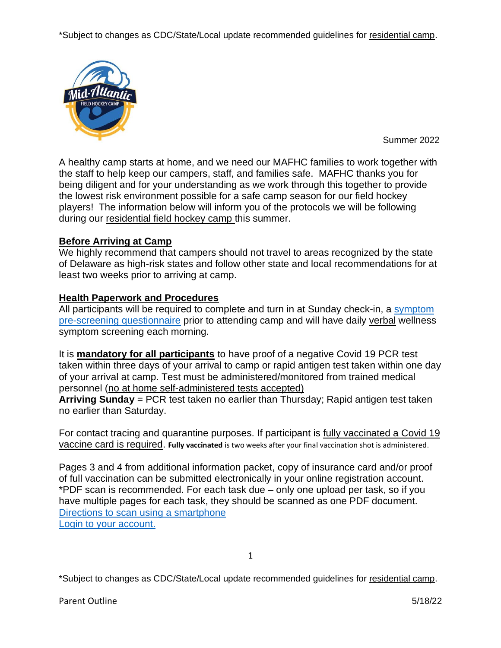\*Subject to changes as CDC/State/Local update recommended guidelines for residential camp.



Summer 2022

A healthy camp starts at home, and we need our MAFHC families to work together with the staff to help keep our campers, staff, and families safe. MAFHC thanks you for being diligent and for your understanding as we work through this together to provide the lowest risk environment possible for a safe camp season for our field hockey players! The information below will inform you of the protocols we will be following during our residential field hockey camp this summer.

# **Before Arriving at Camp**

We highly recommend that campers should not travel to areas recognized by the state of Delaware as high-risk states and follow other state and local recommendations for at least two weeks prior to arriving at camp.

## **Health Paperwork and Procedures**

All participants will be required to complete and turn in at Sunday check-in, a [symptom](https://www.midatlanticfieldhockey.com/uploads/clubs/midatlanticfieldhockeyllc/2022_symtom_questionnaire.pdf)  [pre-screening questionnaire](https://www.midatlanticfieldhockey.com/uploads/clubs/midatlanticfieldhockeyllc/2022_symtom_questionnaire.pdf) prior to attending camp and will have daily verbal wellness symptom screening each morning.

It is **mandatory for all participants** to have proof of a negative Covid 19 PCR test taken within three days of your arrival to camp or rapid antigen test taken within one day of your arrival at camp. Test must be administered/monitored from trained medical personnel (no at home self-administered tests accepted)

**Arriving Sunday** = PCR test taken no earlier than Thursday; Rapid antigen test taken no earlier than Saturday.

For contact tracing and quarantine purposes. If participant is fully vaccinated a Covid 19 vaccine card is required. **Fully vaccinated** is two weeks after your final vaccination shot is administered.

Pages 3 and 4 from additional information packet, copy of insurance card and/or proof of full vaccination can be submitted electronically in your online registration account. \*PDF scan is recommended. For each task due – only one upload per task, so if you have multiple pages for each task, they should be scanned as one PDF document. [Directions to scan using a smartphone](https://edu.gcfglobal.org/en/mobile-device-tips/how-to-scan-documents-with-a-smartphone/1/) [Login to your account.](https://www.oasyssports.com/midatlanticfieldhockeyllc/global-login.cfm)

\*Subject to changes as CDC/State/Local update recommended guidelines for residential camp.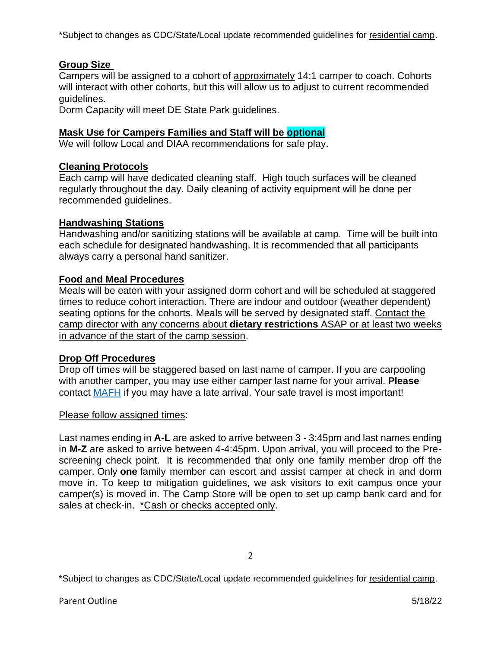\*Subject to changes as CDC/State/Local update recommended guidelines for residential camp.

# **Group Size**

Campers will be assigned to a cohort of approximately 14:1 camper to coach. Cohorts will interact with other cohorts, but this will allow us to adjust to current recommended guidelines.

Dorm Capacity will meet DE State Park guidelines.

### **Mask Use for Campers Families and Staff will be optional**

We will follow Local and DIAA recommendations for safe play.

### **Cleaning Protocols**

Each camp will have dedicated cleaning staff. High touch surfaces will be cleaned regularly throughout the day. Daily cleaning of activity equipment will be done per recommended guidelines.

### **Handwashing Stations**

Handwashing and/or sanitizing stations will be available at camp. Time will be built into each schedule for designated handwashing. It is recommended that all participants always carry a personal hand sanitizer.

### **Food and Meal Procedures**

Meals will be eaten with your assigned dorm cohort and will be scheduled at staggered times to reduce cohort interaction. There are indoor and outdoor (weather dependent) seating options for the cohorts. Meals will be served by designated staff. Contact the camp director with any concerns about **dietary restrictions** ASAP or at least two weeks in advance of the start of the camp session.

#### **Drop Off Procedures**

Drop off times will be staggered based on last name of camper. If you are carpooling with another camper, you may use either camper last name for your arrival. **Please** contact [MAFH](mailto:midatlanticfieldhockey@gmail.com?subject=Question%20Regarding%20Arrival) if you may have a late arrival. Your safe travel is most important!

#### Please follow assigned times:

Last names ending in **A-L** are asked to arrive between 3 - 3:45pm and last names ending in **M-Z** are asked to arrive between 4-4:45pm. Upon arrival, you will proceed to the Prescreening check point. It is recommended that only one family member drop off the camper. Only **one** family member can escort and assist camper at check in and dorm move in. To keep to mitigation guidelines, we ask visitors to exit campus once your camper(s) is moved in. The Camp Store will be open to set up camp bank card and for sales at check-in. \*Cash or checks accepted only.

\*Subject to changes as CDC/State/Local update recommended guidelines for residential camp.